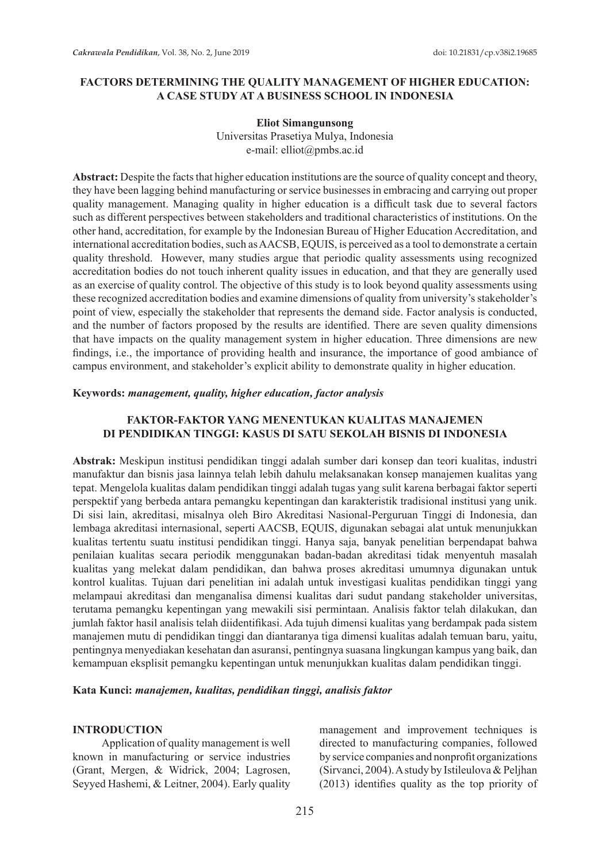## **FACTORS DETERMINING THE QUALITY MANAGEMENT OF HIGHER EDUCATION: A CASE STUDY AT A BUSINESS SCHOOL IN INDONESIA**

#### **Eliot Simangunsong**

Universitas Prasetiya Mulya, Indonesia e-mail: elliot@pmbs.ac.id

**Abstract:** Despite the facts that higher education institutions are the source of quality concept and theory, they have been lagging behind manufacturing or service businesses in embracing and carrying out proper quality management. Managing quality in higher education is a difficult task due to several factors such as different perspectives between stakeholders and traditional characteristics of institutions. On the other hand, accreditation, for example by the Indonesian Bureau of Higher Education Accreditation, and international accreditation bodies, such as AACSB, EQUIS, is perceived as a tool to demonstrate a certain quality threshold. However, many studies argue that periodic quality assessments using recognized accreditation bodies do not touch inherent quality issues in education, and that they are generally used as an exercise of quality control. The objective of this study is to look beyond quality assessments using these recognized accreditation bodies and examine dimensions of quality from university's stakeholder's point of view, especially the stakeholder that represents the demand side. Factor analysis is conducted, and the number of factors proposed by the results are identified. There are seven quality dimensions that have impacts on the quality management system in higher education. Three dimensions are new findings, i.e., the importance of providing health and insurance, the importance of good ambiance of campus environment, and stakeholder's explicit ability to demonstrate quality in higher education.

#### **Keywords:** *management, quality, higher education, factor analysis*

# **FAKTOR-FAKTOR YANG MENENTUKAN KUALITAS MANAJEMEN DI PENDIDIKAN TINGGI: KASUS DI SATU SEKOLAH BISNIS DI INDONESIA**

**Abstrak:** Meskipun institusi pendidikan tinggi adalah sumber dari konsep dan teori kualitas, industri manufaktur dan bisnis jasa lainnya telah lebih dahulu melaksanakan konsep manajemen kualitas yang tepat. Mengelola kualitas dalam pendidikan tinggi adalah tugas yang sulit karena berbagai faktor seperti perspektif yang berbeda antara pemangku kepentingan dan karakteristik tradisional institusi yang unik. Di sisi lain, akreditasi, misalnya oleh Biro Akreditasi Nasional-Perguruan Tinggi di Indonesia, dan lembaga akreditasi internasional, seperti AACSB, EQUIS, digunakan sebagai alat untuk menunjukkan kualitas tertentu suatu institusi pendidikan tinggi. Hanya saja, banyak penelitian berpendapat bahwa penilaian kualitas secara periodik menggunakan badan-badan akreditasi tidak menyentuh masalah kualitas yang melekat dalam pendidikan, dan bahwa proses akreditasi umumnya digunakan untuk kontrol kualitas. Tujuan dari penelitian ini adalah untuk investigasi kualitas pendidikan tinggi yang melampaui akreditasi dan menganalisa dimensi kualitas dari sudut pandang stakeholder universitas, terutama pemangku kepentingan yang mewakili sisi permintaan. Analisis faktor telah dilakukan, dan jumlah faktor hasil analisis telah diidentifikasi. Ada tujuh dimensi kualitas yang berdampak pada sistem manajemen mutu di pendidikan tinggi dan diantaranya tiga dimensi kualitas adalah temuan baru, yaitu, pentingnya menyediakan kesehatan dan asuransi, pentingnya suasana lingkungan kampus yang baik, dan kemampuan eksplisit pemangku kepentingan untuk menunjukkan kualitas dalam pendidikan tinggi.

**Kata Kunci:** *manajemen, kualitas, pendidikan tinggi, analisis faktor*

#### **INTRODUCTION**

Application of quality management is well known in manufacturing or service industries (Grant, Mergen, & Widrick, 2004; Lagrosen, Seyyed Hashemi, & Leitner, 2004). Early quality management and improvement techniques is directed to manufacturing companies, followed by service companies and nonprofit organizations (Sirvanci, 2004). A study by Istileulova & Peljhan (2013) identifies quality as the top priority of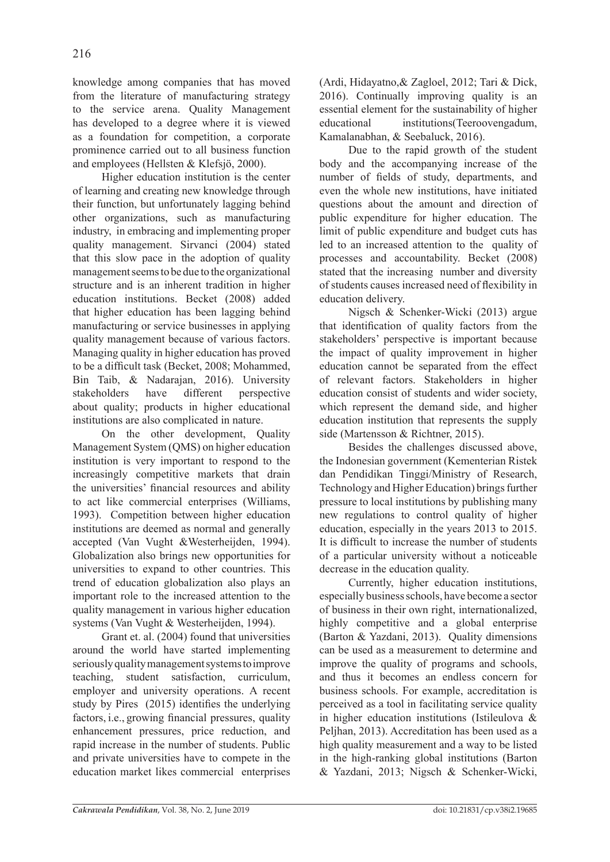knowledge among companies that has moved from the literature of manufacturing strategy to the service arena. Quality Management has developed to a degree where it is viewed as a foundation for competition, a corporate prominence carried out to all business function and employees (Hellsten & Klefsjö, 2000).

Higher education institution is the center of learning and creating new knowledge through their function, but unfortunately lagging behind other organizations, such as manufacturing industry, in embracing and implementing proper quality management. Sirvanci (2004) stated that this slow pace in the adoption of quality management seems to be due to the organizational structure and is an inherent tradition in higher education institutions. Becket (2008) added that higher education has been lagging behind manufacturing or service businesses in applying quality management because of various factors. Managing quality in higher education has proved to be a difficult task (Becket, 2008; Mohammed, Bin Taib, & Nadarajan, 2016). University<br>stakeholders have different perspective stakeholders have different perspective about quality; products in higher educational institutions are also complicated in nature.

On the other development, Quality Management System (QMS) on higher education institution is very important to respond to the increasingly competitive markets that drain the universities' financial resources and ability to act like commercial enterprises (Williams, 1993). Competition between higher education institutions are deemed as normal and generally accepted (Van Vught &Westerheijden, 1994). Globalization also brings new opportunities for universities to expand to other countries. This trend of education globalization also plays an important role to the increased attention to the quality management in various higher education systems (Van Vught & Westerheijden, 1994).

Grant et. al. (2004) found that universities around the world have started implementing seriously quality management systems to improve teaching, student satisfaction, curriculum, employer and university operations. A recent study by Pires (2015) identifies the underlying factors, i.e., growing financial pressures, quality enhancement pressures, price reduction, and rapid increase in the number of students. Public and private universities have to compete in the education market likes commercial enterprises (Ardi, Hidayatno,& Zagloel, 2012; Tari & Dick, 2016). Continually improving quality is an essential element for the sustainability of higher educational institutions(Teeroovengadum, Kamalanabhan, & Seebaluck, 2016).

Due to the rapid growth of the student body and the accompanying increase of the number of fields of study, departments, and even the whole new institutions, have initiated questions about the amount and direction of public expenditure for higher education. The limit of public expenditure and budget cuts has led to an increased attention to the quality of processes and accountability. Becket (2008) stated that the increasing number and diversity of students causes increased need of flexibility in education delivery.

Nigsch & Schenker-Wicki (2013) argue that identification of quality factors from the stakeholders' perspective is important because the impact of quality improvement in higher education cannot be separated from the effect of relevant factors. Stakeholders in higher education consist of students and wider society, which represent the demand side, and higher education institution that represents the supply side (Martensson & Richtner, 2015).

Besides the challenges discussed above, the Indonesian government (Kementerian Ristek dan Pendidikan Tinggi/Ministry of Research, Technology and Higher Education) brings further pressure to local institutions by publishing many new regulations to control quality of higher education, especially in the years 2013 to 2015. It is difficult to increase the number of students of a particular university without a noticeable decrease in the education quality.

Currently, higher education institutions, especially business schools, have become a sector of business in their own right, internationalized, highly competitive and a global enterprise (Barton & Yazdani, 2013). Quality dimensions can be used as a measurement to determine and improve the quality of programs and schools, and thus it becomes an endless concern for business schools. For example, accreditation is perceived as a tool in facilitating service quality in higher education institutions (Istileulova & Peljhan, 2013). Accreditation has been used as a high quality measurement and a way to be listed in the high-ranking global institutions (Barton & Yazdani, 2013; Nigsch & Schenker-Wicki,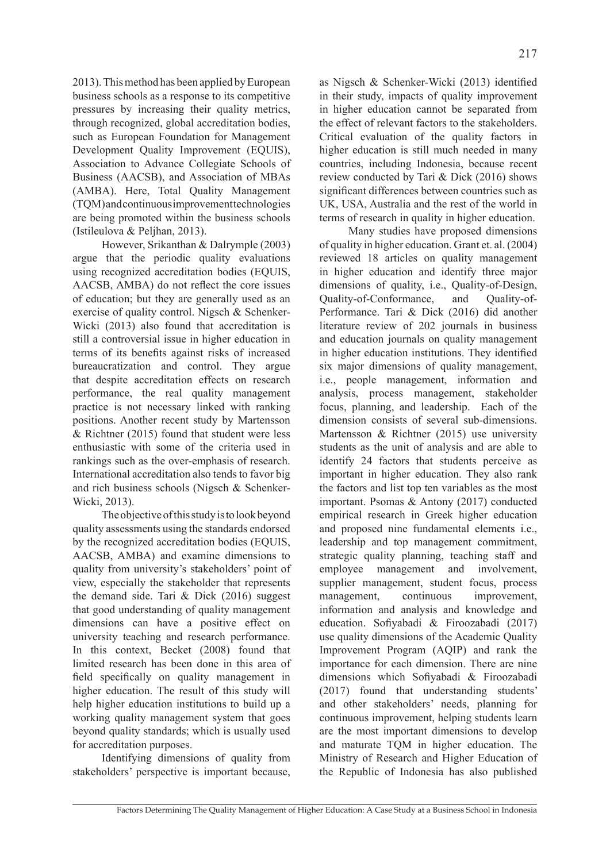2013). This method has been applied by European business schools as a response to its competitive pressures by increasing their quality metrics, through recognized, global accreditation bodies, such as European Foundation for Management Development Quality Improvement (EQUIS), Association to Advance Collegiate Schools of Business (AACSB), and Association of MBAs (AMBA). Here, Total Quality Management (TQM) and continuous improvement technologies are being promoted within the business schools (Istileulova & Peljhan, 2013).

However, Srikanthan & Dalrymple (2003) argue that the periodic quality evaluations using recognized accreditation bodies (EQUIS, AACSB, AMBA) do not reflect the core issues of education; but they are generally used as an exercise of quality control. Nigsch & Schenker-Wicki (2013) also found that accreditation is still a controversial issue in higher education in terms of its benefits against risks of increased bureaucratization and control. They argue that despite accreditation effects on research performance, the real quality management practice is not necessary linked with ranking positions. Another recent study by Martensson & Richtner (2015) found that student were less enthusiastic with some of the criteria used in rankings such as the over-emphasis of research. International accreditation also tends to favor big and rich business schools (Nigsch & Schenker-Wicki, 2013).

The objective of this study is to look beyond quality assessments using the standards endorsed by the recognized accreditation bodies (EQUIS, AACSB, AMBA) and examine dimensions to quality from university's stakeholders' point of view, especially the stakeholder that represents the demand side. Tari & Dick (2016) suggest that good understanding of quality management dimensions can have a positive effect on university teaching and research performance. In this context, Becket (2008) found that limited research has been done in this area of field specifically on quality management in higher education. The result of this study will help higher education institutions to build up a working quality management system that goes beyond quality standards; which is usually used for accreditation purposes.

Identifying dimensions of quality from stakeholders' perspective is important because, as Nigsch & Schenker-Wicki (2013) identified in their study, impacts of quality improvement in higher education cannot be separated from the effect of relevant factors to the stakeholders. Critical evaluation of the quality factors in higher education is still much needed in many countries, including Indonesia, because recent review conducted by Tari & Dick (2016) shows significant differences between countries such as UK, USA, Australia and the rest of the world in terms of research in quality in higher education.

Many studies have proposed dimensions of quality in higher education. Grant et. al. (2004) reviewed 18 articles on quality management in higher education and identify three major dimensions of quality, i.e., Quality-of-Design, Quality-of-Conformance, and Quality-of-Performance. Tari & Dick (2016) did another literature review of 202 journals in business and education journals on quality management in higher education institutions. They identified six major dimensions of quality management, i.e., people management, information and analysis, process management, stakeholder focus, planning, and leadership. Each of the dimension consists of several sub-dimensions. Martensson & Richtner (2015) use university students as the unit of analysis and are able to identify 24 factors that students perceive as important in higher education. They also rank the factors and list top ten variables as the most important. Psomas & Antony (2017) conducted empirical research in Greek higher education and proposed nine fundamental elements i.e., leadership and top management commitment, strategic quality planning, teaching staff and employee management and involvement, supplier management, student focus, process management, continuous improvement, information and analysis and knowledge and education. Sofiyabadi & Firoozabadi (2017) use quality dimensions of the Academic Quality Improvement Program (AQIP) and rank the importance for each dimension. There are nine dimensions which Sofiyabadi & Firoozabadi (2017) found that understanding students' and other stakeholders' needs, planning for continuous improvement, helping students learn are the most important dimensions to develop and maturate TQM in higher education. The Ministry of Research and Higher Education of the Republic of Indonesia has also published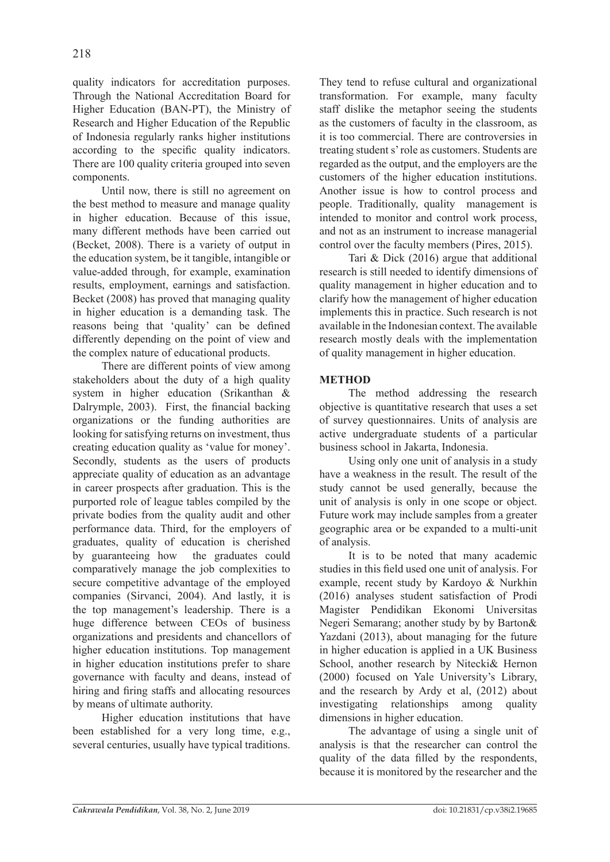quality indicators for accreditation purposes. Through the National Accreditation Board for Higher Education (BAN-PT), the Ministry of Research and Higher Education of the Republic of Indonesia regularly ranks higher institutions according to the specific quality indicators. There are 100 quality criteria grouped into seven components.

Until now, there is still no agreement on the best method to measure and manage quality in higher education. Because of this issue, many different methods have been carried out (Becket, 2008). There is a variety of output in the education system, be it tangible, intangible or value-added through, for example, examination results, employment, earnings and satisfaction. Becket (2008) has proved that managing quality in higher education is a demanding task. The reasons being that 'quality' can be defined differently depending on the point of view and the complex nature of educational products.

There are different points of view among stakeholders about the duty of a high quality system in higher education (Srikanthan & Dalrymple, 2003). First, the financial backing organizations or the funding authorities are looking for satisfying returns on investment, thus creating education quality as 'value for money'. Secondly, students as the users of products appreciate quality of education as an advantage in career prospects after graduation. This is the purported role of league tables compiled by the private bodies from the quality audit and other performance data. Third, for the employers of graduates, quality of education is cherished by guaranteeing how the graduates could comparatively manage the job complexities to secure competitive advantage of the employed companies (Sirvanci, 2004). And lastly, it is the top management's leadership. There is a huge difference between CEOs of business organizations and presidents and chancellors of higher education institutions. Top management in higher education institutions prefer to share governance with faculty and deans, instead of hiring and firing staffs and allocating resources by means of ultimate authority.

Higher education institutions that have been established for a very long time, e.g., several centuries, usually have typical traditions. They tend to refuse cultural and organizational transformation. For example, many faculty staff dislike the metaphor seeing the students as the customers of faculty in the classroom, as it is too commercial. There are controversies in treating student s' role as customers. Students are regarded as the output, and the employers are the customers of the higher education institutions. Another issue is how to control process and people. Traditionally, quality management is intended to monitor and control work process, and not as an instrument to increase managerial control over the faculty members (Pires, 2015).

Tari & Dick (2016) argue that additional research is still needed to identify dimensions of quality management in higher education and to clarify how the management of higher education implements this in practice. Such research is not available in the Indonesian context. The available research mostly deals with the implementation of quality management in higher education.

# **METHOD**

The method addressing the research objective is quantitative research that uses a set of survey questionnaires. Units of analysis are active undergraduate students of a particular business school in Jakarta, Indonesia.

Using only one unit of analysis in a study have a weakness in the result. The result of the study cannot be used generally, because the unit of analysis is only in one scope or object. Future work may include samples from a greater geographic area or be expanded to a multi-unit of analysis.

It is to be noted that many academic studies in this field used one unit of analysis. For example, recent study by Kardoyo & Nurkhin (2016) analyses student satisfaction of Prodi Magister Pendidikan Ekonomi Universitas Negeri Semarang; another study by by Barton& Yazdani (2013), about managing for the future in higher education is applied in a UK Business School, another research by Nitecki& Hernon (2000) focused on Yale University's Library, and the research by Ardy et al, (2012) about investigating relationships among quality dimensions in higher education.

The advantage of using a single unit of analysis is that the researcher can control the quality of the data filled by the respondents, because it is monitored by the researcher and the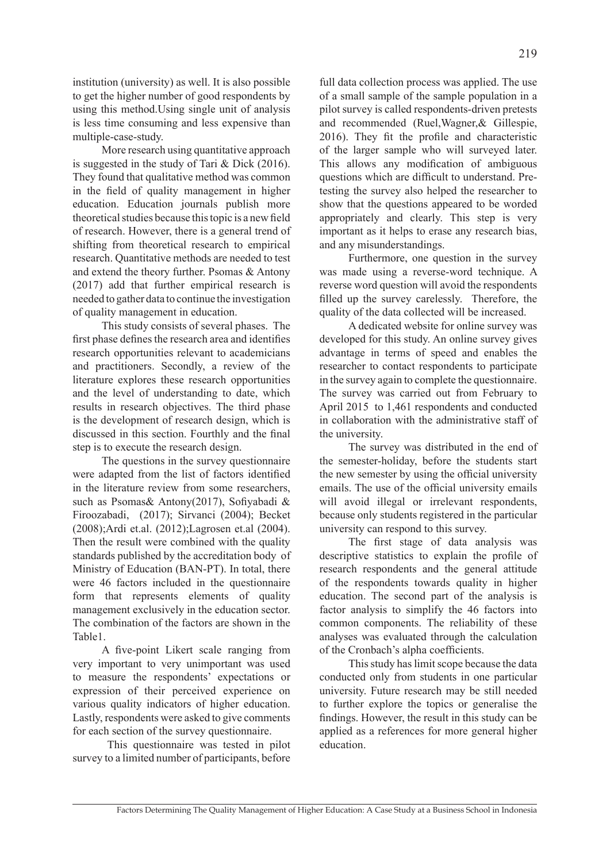institution (university) as well. It is also possible to get the higher number of good respondents by using this method.Using single unit of analysis is less time consuming and less expensive than multiple-case-study.

More research using quantitative approach is suggested in the study of Tari & Dick (2016). They found that qualitative method was common in the field of quality management in higher education. Education journals publish more theoretical studies because this topic is a new field of research. However, there is a general trend of shifting from theoretical research to empirical research. Quantitative methods are needed to test and extend the theory further. Psomas & Antony (2017) add that further empirical research is needed to gather data to continue the investigation of quality management in education.

This study consists of several phases. The first phase defines the research area and identifies research opportunities relevant to academicians and practitioners. Secondly, a review of the literature explores these research opportunities and the level of understanding to date, which results in research objectives. The third phase is the development of research design, which is discussed in this section. Fourthly and the final step is to execute the research design.

The questions in the survey questionnaire were adapted from the list of factors identified in the literature review from some researchers, such as Psomas& Antony(2017), Sofiyabadi & Firoozabadi, (2017); Sirvanci (2004); Becket (2008);Ardi et.al. (2012);Lagrosen et.al (2004). Then the result were combined with the quality standards published by the accreditation body of Ministry of Education (BAN-PT). In total, there were 46 factors included in the questionnaire form that represents elements of quality management exclusively in the education sector. The combination of the factors are shown in the Table1.

A five-point Likert scale ranging from very important to very unimportant was used to measure the respondents' expectations or expression of their perceived experience on various quality indicators of higher education. Lastly, respondents were asked to give comments for each section of the survey questionnaire.

 This questionnaire was tested in pilot survey to a limited number of participants, before full data collection process was applied. The use of a small sample of the sample population in a pilot survey is called respondents-driven pretests and recommended (Ruel,Wagner,& Gillespie, 2016). They fit the profile and characteristic of the larger sample who will surveyed later. This allows any modification of ambiguous questions which are difficult to understand. Pretesting the survey also helped the researcher to show that the questions appeared to be worded appropriately and clearly. This step is very important as it helps to erase any research bias, and any misunderstandings.

Furthermore, one question in the survey was made using a reverse-word technique. A reverse word question will avoid the respondents filled up the survey carelessly. Therefore, the quality of the data collected will be increased.

A dedicated website for online survey was developed for this study. An online survey gives advantage in terms of speed and enables the researcher to contact respondents to participate in the survey again to complete the questionnaire. The survey was carried out from February to April 2015 to 1,461 respondents and conducted in collaboration with the administrative staff of the university.

The survey was distributed in the end of the semester-holiday, before the students start the new semester by using the official university emails. The use of the official university emails will avoid illegal or irrelevant respondents, because only students registered in the particular university can respond to this survey.

The first stage of data analysis was descriptive statistics to explain the profile of research respondents and the general attitude of the respondents towards quality in higher education. The second part of the analysis is factor analysis to simplify the 46 factors into common components. The reliability of these analyses was evaluated through the calculation of the Cronbach's alpha coefficients.

This study has limit scope because the data conducted only from students in one particular university. Future research may be still needed to further explore the topics or generalise the findings. However, the result in this study can be applied as a references for more general higher education.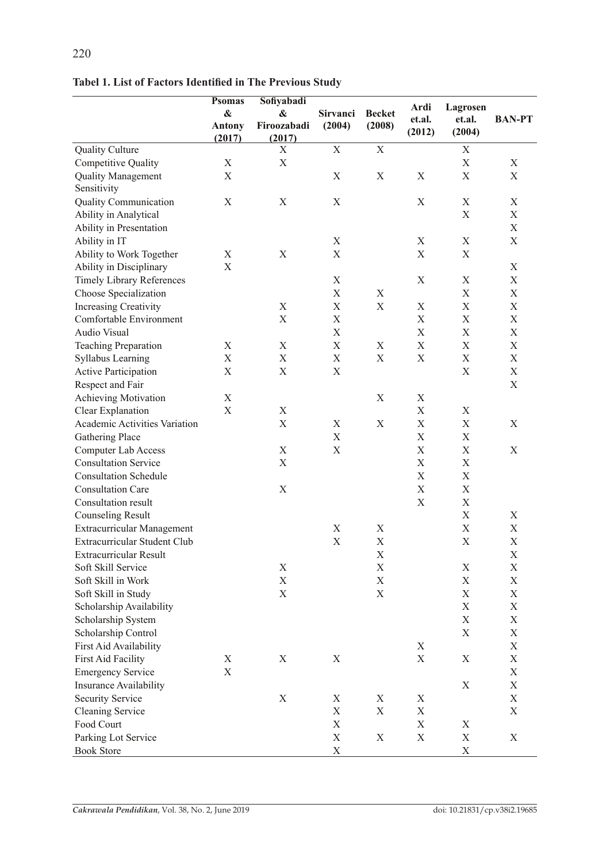|                                      | <b>Psomas</b>             | Sofiyabadi                |             |               |                |                    |                           |
|--------------------------------------|---------------------------|---------------------------|-------------|---------------|----------------|--------------------|---------------------------|
|                                      | $\boldsymbol{\&}$         | &                         | Sirvanci    | <b>Becket</b> | Ardi<br>et.al. | Lagrosen<br>et.al. | <b>BAN-PT</b>             |
|                                      | <b>Antony</b>             | Firoozabadi               | (2004)      | (2008)        | (2012)         | (2004)             |                           |
|                                      | (2017)                    | (2017)                    |             |               |                |                    |                           |
| <b>Quality Culture</b>               |                           | X                         | $\mathbf X$ | $\mathbf X$   |                | $\mathbf X$        |                           |
| Competitive Quality                  | X                         | $\mathbf X$               |             |               |                | $\mathbf X$        | $\mathbf X$               |
| <b>Quality Management</b>            | X                         |                           | X           | $\mathbf X$   | X              | $\mathbf X$        | X                         |
| Sensitivity                          |                           |                           |             |               |                |                    |                           |
| <b>Quality Communication</b>         | X                         | X                         | X           |               | $\mathbf X$    | $\mathbf X$        | X                         |
| Ability in Analytical                |                           |                           |             |               |                | $\mathbf X$        | X                         |
| Ability in Presentation              |                           |                           |             |               |                |                    | $\mathbf X$               |
| Ability in IT                        |                           |                           | $\mathbf X$ |               | X              | X                  | $\boldsymbol{\mathrm{X}}$ |
| Ability to Work Together             | X                         | X                         | $\mathbf X$ |               | $\mathbf X$    | $\mathbf X$        |                           |
| Ability in Disciplinary              | X                         |                           |             |               |                |                    | X                         |
| <b>Timely Library References</b>     |                           |                           | $\mathbf X$ |               | X              | X                  | $\boldsymbol{\mathrm{X}}$ |
| Choose Specialization                |                           |                           | $\mathbf X$ | $\mathbf X$   |                | $\mathbf X$        | $\mathbf X$               |
| Increasing Creativity                |                           | X                         | $\mathbf X$ | $\mathbf X$   | $\mathbf X$    | $\mathbf X$        | $\boldsymbol{\mathrm{X}}$ |
| Comfortable Environment              |                           | $\boldsymbol{\mathrm{X}}$ | $\mathbf X$ |               | $\mathbf X$    | $\mathbf X$        | $\mathbf X$               |
| Audio Visual                         |                           |                           | $\mathbf X$ |               | $\mathbf X$    | $\mathbf X$        | $\boldsymbol{\mathrm{X}}$ |
| <b>Teaching Preparation</b>          | X                         | $\mathbf X$               | $\mathbf X$ | $\mathbf X$   | $\mathbf X$    | $\mathbf X$        | $\mathbf X$               |
| Syllabus Learning                    | X                         | $\mathbf X$               | $\mathbf X$ | $\mathbf X$   | $\mathbf X$    | $\mathbf X$        | X                         |
| <b>Active Participation</b>          | X                         | $\mathbf X$               | $\mathbf X$ |               |                | $\mathbf X$        | $\mathbf X$               |
| Respect and Fair                     |                           |                           |             |               |                |                    | $\mathbf X$               |
| Achieving Motivation                 | X                         |                           |             | $\mathbf X$   | X              |                    |                           |
| Clear Explanation                    | X                         | X                         |             |               | X              | X                  |                           |
| <b>Academic Activities Variation</b> |                           | $\mathbf X$               | $\mathbf X$ | $\mathbf X$   | $\mathbf X$    | $\mathbf X$        | X                         |
| <b>Gathering Place</b>               |                           |                           | X           |               | X              | $\mathbf X$        |                           |
| <b>Computer Lab Access</b>           |                           | $\mathbf X$               | $\mathbf X$ |               | $\mathbf X$    | $\mathbf X$        | X                         |
| <b>Consultation Service</b>          |                           | X                         |             |               | $\mathbf X$    | $\mathbf X$        |                           |
| <b>Consultation Schedule</b>         |                           |                           |             |               | $\mathbf X$    | $\mathbf X$        |                           |
| <b>Consultation Care</b>             |                           | X                         |             |               | $\mathbf X$    | $\mathbf X$        |                           |
| Consultation result                  |                           |                           |             |               | $\mathbf X$    | X                  |                           |
|                                      |                           |                           |             |               |                |                    |                           |
| <b>Counseling Result</b>             |                           |                           |             |               |                | $\mathbf X$        | X                         |
| Extracurricular Management           |                           |                           | $\mathbf X$ | $\mathbf X$   |                | $\mathbf X$        | X                         |
| Extracurricular Student Club         |                           |                           | $\mathbf X$ | $\mathbf X$   |                | $\mathbf X$        | $\mathbf X$               |
| <b>Extracurricular Result</b>        |                           |                           |             | $\mathbf X$   |                |                    | $\mathbf X$               |
| Soft Skill Service                   |                           | X                         |             | $\mathbf X$   |                | $\mathbf X$        | $\mathbf X$               |
| Soft Skill in Work                   |                           | X                         |             | $\mathbf X$   |                | $\mathbf X$        | $\mathbf X$               |
| Soft Skill in Study                  |                           | $\mathbf X$               |             | $\mathbf X$   |                | $\mathbf X$        | X                         |
| Scholarship Availability             |                           |                           |             |               |                | $\mathbf X$        | X                         |
| Scholarship System                   |                           |                           |             |               |                | $\mathbf X$        | $\mathbf X$               |
| Scholarship Control                  |                           |                           |             |               |                | $\mathbf X$        | X                         |
| First Aid Availability               |                           |                           |             |               | X              |                    | $\mathbf X$               |
| <b>First Aid Facility</b>            | X                         | X                         | X           |               | X              | X                  | X                         |
| <b>Emergency Service</b>             | $\boldsymbol{\mathrm{X}}$ |                           |             |               |                |                    | $\mathbf X$               |
| Insurance Availability               |                           |                           |             |               |                | X                  | X                         |
| <b>Security Service</b>              |                           | $\mathbf X$               | X           | X             | X              |                    | X                         |
| <b>Cleaning Service</b>              |                           |                           | $\mathbf X$ | X             | X              |                    | X                         |
| Food Court                           |                           |                           | X           |               | X              | X                  |                           |
| Parking Lot Service                  |                           |                           | $\mathbf X$ | $\mathbf X$   | $\mathbf X$    | $\mathbf X$        | $\mathbf X$               |
| <b>Book Store</b>                    |                           |                           | $\mathbf X$ |               |                | X                  |                           |

**Tabel 1. List of Factors Identified in The Previous Study**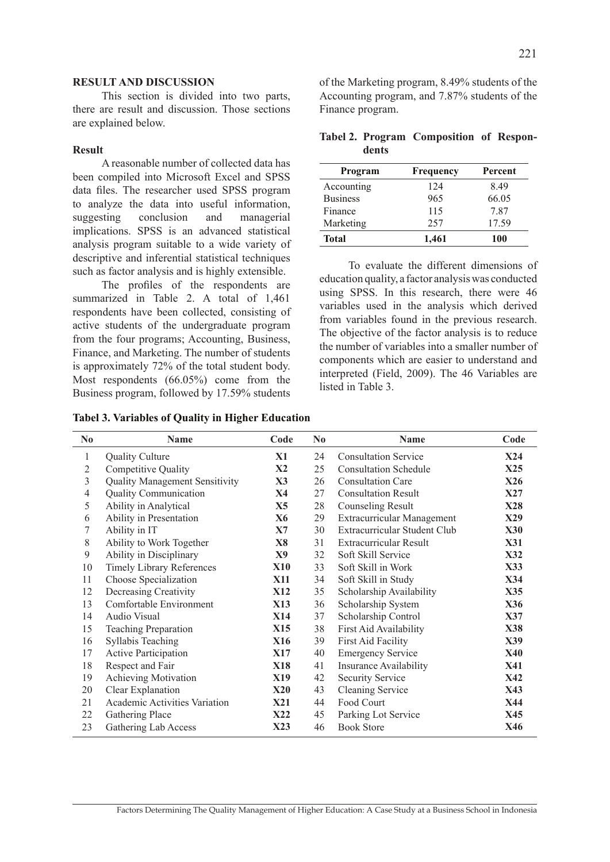### **RESULT AND DISCUSSION**

This section is divided into two parts, there are result and discussion. Those sections are explained below.

#### **Result**

A reasonable number of collected data has been compiled into Microsoft Excel and SPSS data files. The researcher used SPSS program to analyze the data into useful information, suggesting conclusion and managerial implications. SPSS is an advanced statistical analysis program suitable to a wide variety of descriptive and inferential statistical techniques such as factor analysis and is highly extensible.

The profiles of the respondents are summarized in Table 2. A total of 1,461 respondents have been collected, consisting of active students of the undergraduate program from the four programs; Accounting, Business, Finance, and Marketing. The number of students is approximately 72% of the total student body. Most respondents (66.05%) come from the Business program, followed by 17.59% students

**Tabel 3. Variables of Quality in Higher Education**

of the Marketing program, 8.49% students of the Accounting program, and 7.87% students of the Finance program.

|       | Tabel 2. Program Composition of Respon- |  |
|-------|-----------------------------------------|--|
| dents |                                         |  |

| Program         | Frequency | Percent |
|-----------------|-----------|---------|
| Accounting      | 124       | 849     |
| <b>Business</b> | 965       | 66.05   |
| Finance         | 115       | 7.87    |
| Marketing       | 257       | 17.59   |
| <b>Total</b>    | 1,461     | 100     |

To evaluate the different dimensions of education quality, a factor analysis was conducted using SPSS. In this research, there were 46 variables used in the analysis which derived from variables found in the previous research. The objective of the factor analysis is to reduce the number of variables into a smaller number of components which are easier to understand and interpreted (Field, 2009). The 46 Variables are listed in Table 3.

| N <sub>0</sub> | <b>Name</b>                           | Code          | N <sub>0</sub> | <b>Name</b>                       | Code       |
|----------------|---------------------------------------|---------------|----------------|-----------------------------------|------------|
| $\mathbf{1}$   | <b>Quality Culture</b>                | X1            | 24             | <b>Consultation Service</b>       | X24        |
| 2              | <b>Competitive Quality</b>            | $\mathbf{X2}$ | 25             | <b>Consultation Schedule</b>      | X25        |
| 3              | <b>Quality Management Sensitivity</b> | X3            | 26             | <b>Consultation Care</b>          | <b>X26</b> |
| 4              | <b>Quality Communication</b>          | X4            | 27             | <b>Consultation Result</b>        | X27        |
| 5              | Ability in Analytical                 | X5            | 28             | Counseling Result                 | X28        |
| 6              | Ability in Presentation               | X6            | 29             | <b>Extracurricular Management</b> | X29        |
| 7              | Ability in IT                         | X7            | 30             | Extracurricular Student Club      | <b>X30</b> |
| $8\,$          | Ability to Work Together              | X8            | 31             | <b>Extracurricular Result</b>     | <b>X31</b> |
| 9              | Ability in Disciplinary               | X9            | 32             | Soft Skill Service                | <b>X32</b> |
| 10             | <b>Timely Library References</b>      | <b>X10</b>    | 33             | Soft Skill in Work                | X33        |
| 11             | Choose Specialization                 | X11           | 34             | Soft Skill in Study               | X34        |
| 12             | Decreasing Creativity                 | <b>X12</b>    | 35             | Scholarship Availability          | X35        |
| 13             | Comfortable Environment               | X13           | 36             | Scholarship System                | X36        |
| 14             | Audio Visual                          | <b>X14</b>    | 37             | Scholarship Control               | X37        |
| 15             | <b>Teaching Preparation</b>           | <b>X15</b>    | 38             | First Aid Availability            | <b>X38</b> |
| 16             | <b>Syllabis Teaching</b>              | <b>X16</b>    | 39             | <b>First Aid Facility</b>         | X39        |
| 17             | <b>Active Participation</b>           | <b>X17</b>    | 40             | <b>Emergency Service</b>          | <b>X40</b> |
| 18             | Respect and Fair                      | <b>X18</b>    | 41             | Insurance Availability            | X41        |
| 19             | <b>Achieving Motivation</b>           | X19           | 42             | <b>Security Service</b>           | <b>X42</b> |
| 20             | Clear Explanation                     | <b>X20</b>    | 43             | <b>Cleaning Service</b>           | X43        |
| 21             | Academic Activities Variation         | <b>X21</b>    | 44             | Food Court                        | X44        |
| 22             | Gathering Place                       | <b>X22</b>    | 45             | Parking Lot Service               | X45        |
| 23             | Gathering Lab Access                  | X23           | 46             | <b>Book Store</b>                 | X46        |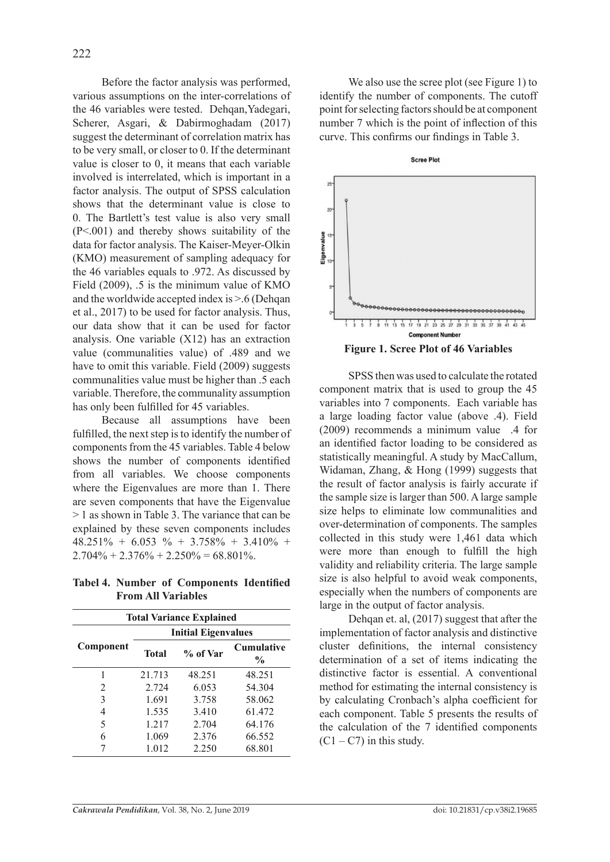Before the factor analysis was performed, various assumptions on the inter-correlations of the 46 variables were tested. Dehgan, Yadegari, Scherer, Asgari, & Dabirmoghadam (2017) suggest the determinant of correlation matrix has to be very small, or closer to 0. If the determinant value is closer to 0, it means that each variable involved is interrelated, which is important in a factor analysis. The output of SPSS calculation shows that the determinant value is close to 0. The Bartlett's test value is also very small (P<.001) and thereby shows suitability of the data for factor analysis. The Kaiser-Meyer-Olkin (KMO) measurement of sampling adequacy for the 46 variables equals to .972. As discussed by Field (2009), .5 is the minimum value of KMO and the worldwide accepted index is  $> 6$  (Dehgan et al., 2017) to be used for factor analysis. Thus, our data show that it can be used for factor analysis. One variable (X12) has an extraction value (communalities value) of .489 and we have to omit this variable. Field (2009) suggests communalities value must be higher than .5 each variable. Therefore, the communality assumption has only been fulfilled for 45 variables.

Because all assumptions have been fulfilled, the next step is to identify the number of components from the 45 variables. Table 4 below shows the number of components identified from all variables. We choose components where the Eigenvalues are more than 1. There are seven components that have the Eigenvalue > 1 as shown in Table 3. The variance that can be explained by these seven components includes 48.251% + 6.053 % + 3.758% + 3.410% +  $2.704\% + 2.376\% + 2.250\% = 68.801\%$ .

**Tabel 4. Number of Components Identified From All Variables**

| <b>Total Variance Explained</b> |                            |          |                    |  |  |
|---------------------------------|----------------------------|----------|--------------------|--|--|
|                                 | <b>Initial Eigenvalues</b> |          |                    |  |  |
| Component                       | <b>Total</b>               | % of Var | Cumulative<br>$\%$ |  |  |
| 1                               | 21.713                     | 48.251   | 48.251             |  |  |
| 2                               | 2.724                      | 6.053    | 54.304             |  |  |
| 3                               | 1.691                      | 3.758    | 58.062             |  |  |
| 4                               | 1.535                      | 3.410    | 61.472             |  |  |
| 5                               | 1.217                      | 2.704    | 64.176             |  |  |
| 6                               | 1.069                      | 2.376    | 66.552             |  |  |
|                                 | 1.012                      | 2.250    | 68.801             |  |  |

We also use the scree plot (see Figure 1) to identify the number of components. The cutoff point for selecting factors should be at component number 7 which is the point of inflection of this curve. This confirms our findings in Table 3.



SPSS then was used to calculate the rotated component matrix that is used to group the 45 variables into 7 components. Each variable has a large loading factor value (above .4). Field (2009) recommends a minimum value .4 for an identified factor loading to be considered as statistically meaningful. A study by MacCallum, Widaman, Zhang, & Hong (1999) suggests that the result of factor analysis is fairly accurate if the sample size is larger than 500. A large sample size helps to eliminate low communalities and over-determination of components. The samples collected in this study were 1,461 data which were more than enough to fulfill the high validity and reliability criteria. The large sample size is also helpful to avoid weak components, especially when the numbers of components are large in the output of factor analysis.

Dehqan et. al, (2017) suggest that after the implementation of factor analysis and distinctive cluster definitions, the internal consistency determination of a set of items indicating the distinctive factor is essential. A conventional method for estimating the internal consistency is by calculating Cronbach's alpha coefficient for each component. Table 5 presents the results of the calculation of the 7 identified components  $(C1 - C7)$  in this study.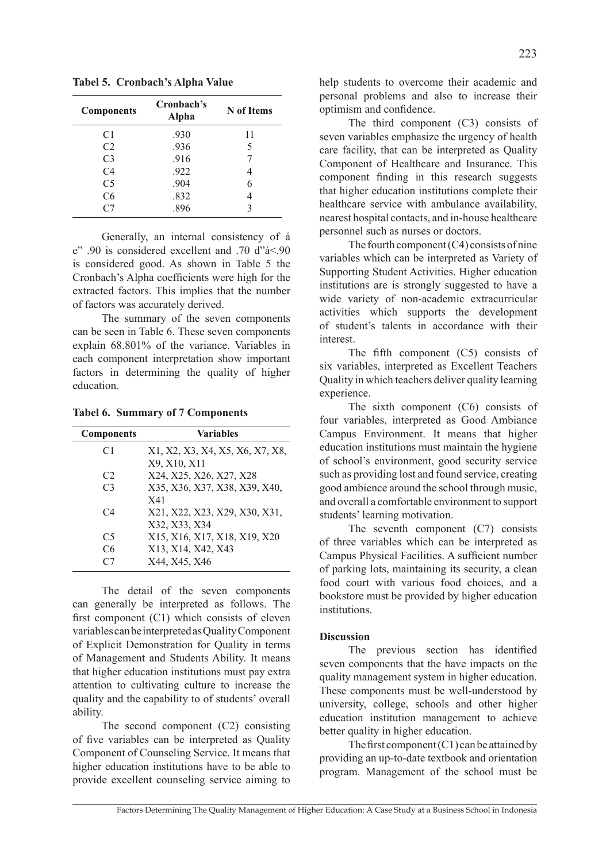**Tabel 5. Cronbach's Alpha Value**

| <b>Components</b> | Cronbach's<br>Alpha | N of Items |
|-------------------|---------------------|------------|
| C1                | .930                | 11         |
| C <sub>2</sub>    | .936                | 5          |
| C <sub>3</sub>    | .916                | 7          |
| C <sub>4</sub>    | .922                | 4          |
| C <sub>5</sub>    | .904                | 6          |
| C6                | .832                | 4          |
| C7                | .896                | 3          |

Generally, an internal consistency of á e" .90 is considered excellent and .70 d" $4 < 90$ is considered good. As shown in Table 5 the Cronbach's Alpha coefficients were high for the extracted factors. This implies that the number of factors was accurately derived.

The summary of the seven components can be seen in Table 6. These seven components explain 68.801% of the variance. Variables in each component interpretation show important factors in determining the quality of higher education.

**Tabel 6. Summary of 7 Components**

| <b>Components</b> | <b>Variables</b>                |
|-------------------|---------------------------------|
| C <sub>1</sub>    | X1, X2, X3, X4, X5, X6, X7, X8, |
|                   | X9, X10, X11                    |
| C <sub>2</sub>    | X24, X25, X26, X27, X28         |
| C <sub>3</sub>    | X35, X36, X37, X38, X39, X40,   |
|                   | X41                             |
| C <sub>4</sub>    | X21, X22, X23, X29, X30, X31,   |
|                   | X32, X33, X34                   |
| C <sub>5</sub>    | X15, X16, X17, X18, X19, X20    |
| C6                | X13, X14, X42, X43              |
| C7                | X44, X45, X46                   |

The detail of the seven components can generally be interpreted as follows. The first component (C1) which consists of eleven variables can be interpreted as Quality Component of Explicit Demonstration for Quality in terms of Management and Students Ability. It means that higher education institutions must pay extra attention to cultivating culture to increase the quality and the capability to of students' overall ability.

The second component (C2) consisting of five variables can be interpreted as Quality Component of Counseling Service. It means that higher education institutions have to be able to provide excellent counseling service aiming to help students to overcome their academic and personal problems and also to increase their optimism and confidence.

The third component (C3) consists of seven variables emphasize the urgency of health care facility, that can be interpreted as Quality Component of Healthcare and Insurance. This component finding in this research suggests that higher education institutions complete their healthcare service with ambulance availability, nearest hospital contacts, and in-house healthcare personnel such as nurses or doctors.

The fourth component  $(C4)$  consists of nine variables which can be interpreted as Variety of Supporting Student Activities. Higher education institutions are is strongly suggested to have a wide variety of non-academic extracurricular activities which supports the development of student's talents in accordance with their interest.

The fifth component (C5) consists of six variables, interpreted as Excellent Teachers Quality in which teachers deliver quality learning experience.

The sixth component (C6) consists of four variables, interpreted as Good Ambiance Campus Environment. It means that higher education institutions must maintain the hygiene of school's environment, good security service such as providing lost and found service, creating good ambience around the school through music, and overall a comfortable environment to support students' learning motivation.

The seventh component (C7) consists of three variables which can be interpreted as Campus Physical Facilities. A sufficient number of parking lots, maintaining its security, a clean food court with various food choices, and a bookstore must be provided by higher education institutions.

## **Discussion**

The previous section has identified seven components that the have impacts on the quality management system in higher education. These components must be well-understood by university, college, schools and other higher education institution management to achieve better quality in higher education.

The first component  $(C1)$  can be attained by providing an up-to-date textbook and orientation program. Management of the school must be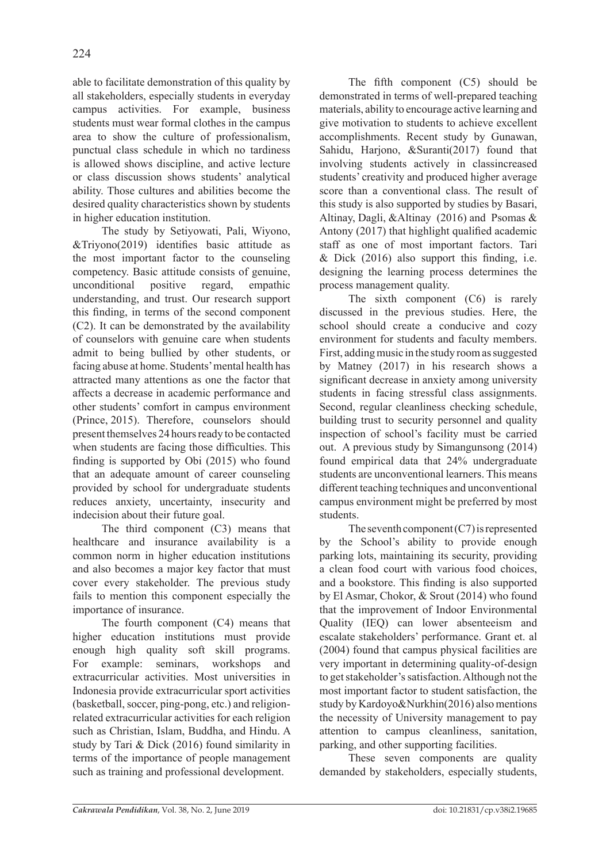able to facilitate demonstration of this quality by all stakeholders, especially students in everyday campus activities. For example, business students must wear formal clothes in the campus area to show the culture of professionalism, punctual class schedule in which no tardiness is allowed shows discipline, and active lecture or class discussion shows students' analytical ability. Those cultures and abilities become the desired quality characteristics shown by students in higher education institution.

The study by Setiyowati, Pali, Wiyono, &Triyono(2019) identifies basic attitude as the most important factor to the counseling competency. Basic attitude consists of genuine, unconditional positive regard, empathic understanding, and trust. Our research support this finding, in terms of the second component (C2). It can be demonstrated by the availability of counselors with genuine care when students admit to being bullied by other students, or facing abuse at home. Students' mental health has attracted many attentions as one the factor that affects a decrease in academic performance and other students' comfort in campus environment (Prince, 2015). Therefore, counselors should present themselves 24 hours ready to be contacted when students are facing those difficulties. This finding is supported by Obi (2015) who found that an adequate amount of career counseling provided by school for undergraduate students reduces anxiety, uncertainty, insecurity and indecision about their future goal.

The third component (C3) means that healthcare and insurance availability is a common norm in higher education institutions and also becomes a major key factor that must cover every stakeholder. The previous study fails to mention this component especially the importance of insurance.

The fourth component (C4) means that higher education institutions must provide enough high quality soft skill programs. For example: seminars, workshops and extracurricular activities. Most universities in Indonesia provide extracurricular sport activities (basketball, soccer, ping-pong, etc.) and religionrelated extracurricular activities for each religion such as Christian, Islam, Buddha, and Hindu. A study by Tari & Dick (2016) found similarity in terms of the importance of people management such as training and professional development.

The fifth component (C5) should be demonstrated in terms of well-prepared teaching materials, ability to encourage active learning and give motivation to students to achieve excellent accomplishments. Recent study by Gunawan, Sahidu, Harjono, &Suranti(2017) found that involving students actively in classincreased students' creativity and produced higher average score than a conventional class. The result of this study is also supported by studies by Basari, Altinay, Dagli, &Altinay (2016) and Psomas & Antony (2017) that highlight qualified academic staff as one of most important factors. Tari  $& Dick (2016) also support this finding, i.e.$ designing the learning process determines the process management quality.

The sixth component (C6) is rarely discussed in the previous studies. Here, the school should create a conducive and cozy environment for students and faculty members. First, adding music in the study room as suggested by Matney (2017) in his research shows a significant decrease in anxiety among university students in facing stressful class assignments. Second, regular cleanliness checking schedule, building trust to security personnel and quality inspection of school's facility must be carried out. A previous study by Simangunsong (2014) found empirical data that 24% undergraduate students are unconventional learners. This means different teaching techniques and unconventional campus environment might be preferred by most students.

The seventh component  $(C7)$  is represented by the School's ability to provide enough parking lots, maintaining its security, providing a clean food court with various food choices, and a bookstore. This finding is also supported by El Asmar, Chokor, & Srout (2014) who found that the improvement of Indoor Environmental Quality (IEQ) can lower absenteeism and escalate stakeholders' performance. Grant et. al (2004) found that campus physical facilities are very important in determining quality-of-design to get stakeholder's satisfaction. Although not the most important factor to student satisfaction, the study by Kardoyo&Nurkhin(2016) also mentions the necessity of University management to pay attention to campus cleanliness, sanitation, parking, and other supporting facilities.

These seven components are quality demanded by stakeholders, especially students,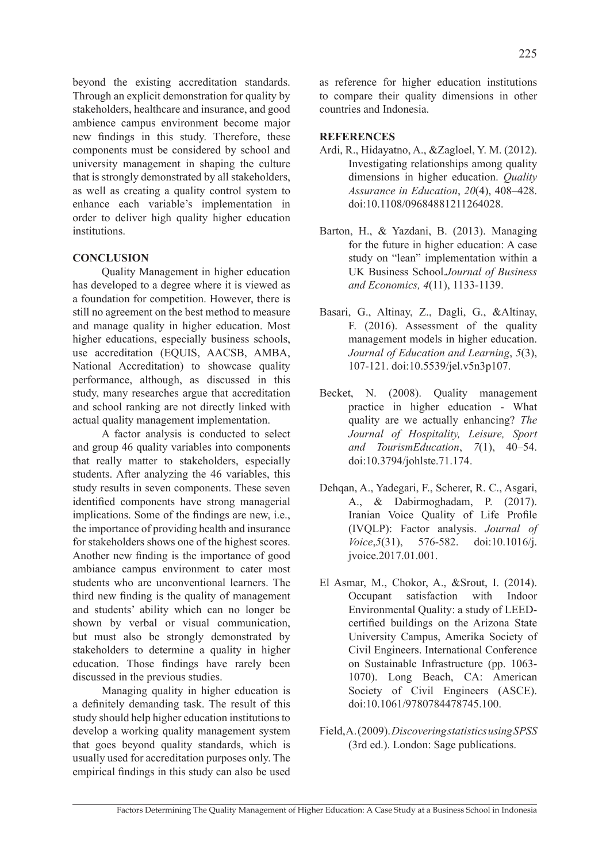beyond the existing accreditation standards. Through an explicit demonstration for quality by stakeholders, healthcare and insurance, and good ambience campus environment become major new findings in this study. Therefore, these components must be considered by school and university management in shaping the culture that is strongly demonstrated by all stakeholders, as well as creating a quality control system to enhance each variable's implementation in order to deliver high quality higher education institutions.

# **CONCLUSION**

Quality Management in higher education has developed to a degree where it is viewed as a foundation for competition. However, there is still no agreement on the best method to measure and manage quality in higher education. Most higher educations, especially business schools, use accreditation (EQUIS, AACSB, AMBA, National Accreditation) to showcase quality performance, although, as discussed in this study, many researches argue that accreditation and school ranking are not directly linked with actual quality management implementation.

A factor analysis is conducted to select and group 46 quality variables into components that really matter to stakeholders, especially students. After analyzing the 46 variables, this study results in seven components. These seven identified components have strong managerial implications. Some of the findings are new, i.e., the importance of providing health and insurance for stakeholders shows one of the highest scores. Another new finding is the importance of good ambiance campus environment to cater most students who are unconventional learners. The third new finding is the quality of management and students' ability which can no longer be shown by verbal or visual communication, but must also be strongly demonstrated by stakeholders to determine a quality in higher education. Those findings have rarely been discussed in the previous studies.

Managing quality in higher education is a definitely demanding task. The result of this study should help higher education institutions to develop a working quality management system that goes beyond quality standards, which is usually used for accreditation purposes only. The empirical findings in this study can also be used as reference for higher education institutions to compare their quality dimensions in other countries and Indonesia.

## **REFERENCES**

- Ardi, R., Hidayatno, A., &Zagloel, Y. M. (2012). Investigating relationships among quality dimensions in higher education. *Quality Assurance in Education*, *20*(4), 408–428. doi:10.1108/09684881211264028.
- Barton, H., & Yazdani, B. (2013). Managing for the future in higher education: A case study on "lean" implementation within a UK Business School.*Journal of Business and Economics, 4*(11), 1133-1139.
- Basari, G., Altinay, Z., Dagli, G., &Altinay, F. (2016). Assessment of the quality management models in higher education. *Journal of Education and Learning*, *5*(3), 107-121. doi:10.5539/jel.v5n3p107.
- Becket, N. (2008). Quality management practice in higher education - What quality are we actually enhancing? *The Journal of Hospitality, Leisure, Sport and TourismEducation*, *7*(1), 40–54. doi:10.3794/johlste.71.174.
- Dehqan, A., Yadegari, F., Scherer, R. C., Asgari, A., & Dabirmoghadam, P. (2017). Iranian Voice Quality of Life Profile (IVQLP): Factor analysis. *Journal of Voice*,*5*(31), 576-582. doi:10.1016/j. jvoice.2017.01.001.
- El Asmar, M., Chokor, A., &Srout, I. (2014). Occupant satisfaction with Indoor Environmental Quality: a study of LEEDcertified buildings on the Arizona State University Campus, Amerika Society of Civil Engineers. International Conference on Sustainable Infrastructure (pp. 1063- 1070). Long Beach, CA: American Society of Civil Engineers (ASCE). doi:10.1061/9780784478745.100.
- Field, A. (2009). *Discovering statistics using SPSS* (3rd ed.). London: Sage publications.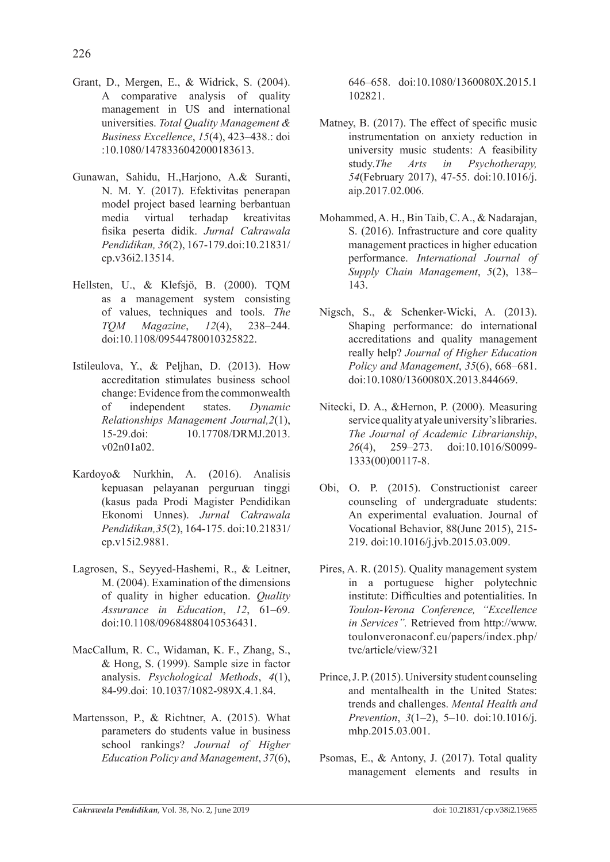- Grant, D., Mergen, E., & Widrick, S. (2004). A comparative analysis of quality management in US and international universities. *Total Quality Management & Business Excellence*, *15*(4), 423–438.: doi :10.1080/1478336042000183613.
- Gunawan, Sahidu, H.,Harjono, A.& Suranti, N. M. Y. (2017). Efektivitas penerapan model project based learning berbantuan media virtual terhadap kreativitas fisika peserta didik. *Jurnal Cakrawala Pendidikan, 36*(2), 167-179.doi:10.21831/ cp.v36i2.13514.
- Hellsten, U., & Klefsjö, B. (2000). TQM as a management system consisting of values, techniques and tools. *The TQM Magazine*, *12*(4), 238–244. doi:10.1108/09544780010325822.
- Istileulova, Y., & Peljhan, D. (2013). How accreditation stimulates business school change: Evidence from the commonwealth of independent states. *Dynamic Relationships Management Journal,2*(1), 15-29.doi: 10.17708/DRMJ.2013. v02n01a02.
- Kardoyo& Nurkhin, A. (2016). Analisis kepuasan pelayanan perguruan tinggi (kasus pada Prodi Magister Pendidikan Ekonomi Unnes). *Jurnal Cakrawala Pendidikan,35*(2), 164-175. doi:10.21831/ cp.v15i2.9881.
- Lagrosen, S., Seyyed-Hashemi, R., & Leitner, M. (2004). Examination of the dimensions of quality in higher education. *Quality Assurance in Education*, *12*, 61–69. doi:10.1108/09684880410536431.
- MacCallum, R. C., Widaman, K. F., Zhang, S., & Hong, S. (1999). Sample size in factor analysis. *Psychological Methods*, *4*(1), 84-99.doi: 10.1037/1082-989X.4.1.84.
- Martensson, P., & Richtner, A. (2015). What parameters do students value in business school rankings? *Journal of Higher Education Policy and Management*, *37*(6),

646–658. doi:10.1080/1360080X.2015.1 102821.

- Matney, B. (2017). The effect of specific music instrumentation on anxiety reduction in university music students: A feasibility study.*The Arts in Psychotherapy, 54*(February 2017), 47-55. doi:10.1016/j. aip.2017.02.006.
- Mohammed, A. H., Bin Taib, C. A., & Nadarajan, S. (2016). Infrastructure and core quality management practices in higher education performance. *International Journal of Supply Chain Management*, *5*(2), 138– 143.
- Nigsch, S., & Schenker-Wicki, A. (2013). Shaping performance: do international accreditations and quality management really help? *Journal of Higher Education Policy and Management*, *35*(6), 668–681. doi:10.1080/1360080X.2013.844669.
- Nitecki, D. A., &Hernon, P. (2000). Measuring service quality at yale university's libraries. *The Journal of Academic Librarianship*, *26*(4), 259–273. doi:10.1016/S0099- 1333(00)00117-8.
- Obi, O. P. (2015). Constructionist career counseling of undergraduate students: An experimental evaluation. Journal of Vocational Behavior, 88(June 2015), 215- 219. doi:10.1016/j.jvb.2015.03.009.
- Pires, A. R. (2015). Quality management system in a portuguese higher polytechnic institute: Difficulties and potentialities. In *Toulon-Verona Conference, "Excellence in Services".* Retrieved from http://www. toulonveronaconf.eu/papers/index.php/ tvc/article/view/321
- Prince, J. P. (2015). University student counseling and mentalhealth in the United States: trends and challenges. *Mental Health and Prevention*, *3*(1–2), 5–10. doi:10.1016/j. mhp.2015.03.001.
- Psomas, E., & Antony, J. (2017). Total quality management elements and results in